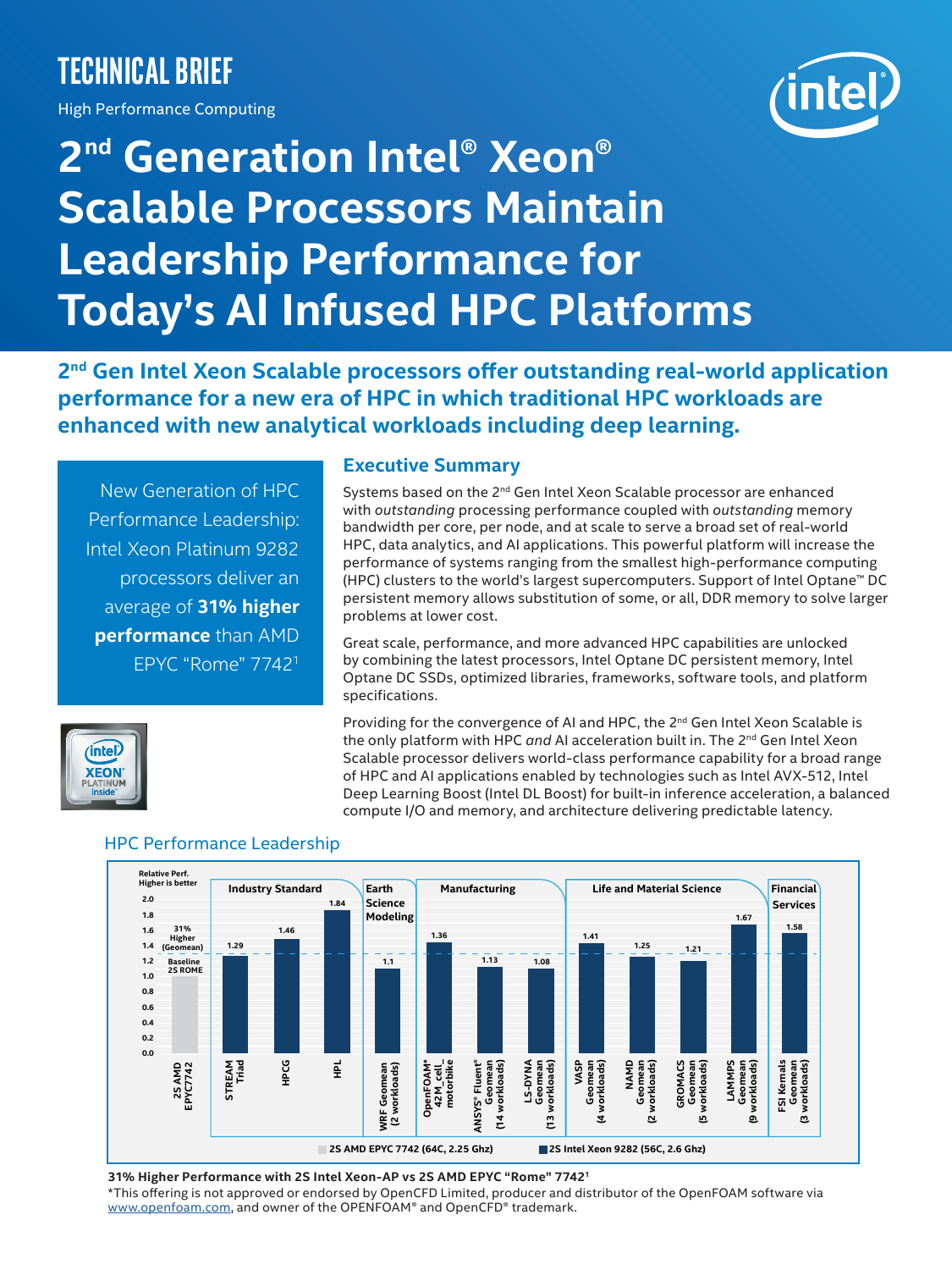# **Technical brief**

High Performance Computing



# **2nd Generation Intel® Xeon® Scalable Processors Maintain Leadership Performance for Today's AI Infused HPC Platforms**

**2nd Gen Intel Xeon Scalable processors offer outstanding real-world application performance for a new era of HPC in which traditional HPC workloads are enhanced with new analytical workloads including deep learning.**

New Generation of HPC Performance Leadership: Intel Xeon Platinum 9282 processors deliver an average of **31% higher performance** than AMD EPYC "Rome" 77421

#### **Executive Summary**

Systems based on the 2<sup>nd</sup> Gen Intel Xeon Scalable processor are enhanced with *outstanding* processing performance coupled with *outstanding* memory bandwidth per core, per node, and at scale to serve a broad set of real-world HPC, data analytics, and AI applications. This powerful platform will increase the performance of systems ranging from the smallest high-performance computing (HPC) clusters to the world's largest supercomputers. Support of Intel Optane™ DC persistent memory allows substitution of some, or all, DDR memory to solve larger problems at lower cost.

Great scale, performance, and more advanced HPC capabilities are unlocked by combining the latest processors, Intel Optane DC persistent memory, Intel Optane DC SSDs, optimized libraries, frameworks, software tools, and platform specifications.

intel. **CEON**  Providing for the convergence of AI and HPC, the 2<sup>nd</sup> Gen Intel Xeon Scalable is the only platform with HPC *and* AI acceleration built in. The 2<sup>nd</sup> Gen Intel Xeon Scalable processor delivers world-class performance capability for a broad range of HPC and AI applications enabled by technologies such as Intel AVX-512, Intel Deep Learning Boost (Intel DL Boost) for built-in inference acceleration, a balanced compute I/O and memory, and architecture delivering predictable latency.



# HPC Performance Leadership

**31% Higher Performance with 2S Intel Xeon-AP vs 2S AMD EPYC "Rome" 7742<sup>1</sup>**

\*This offering is not approved or endorsed by OpenCFD Limited, producer and distributor of the OpenFOAM software via [www.openfoam.com](https://www.openfoam.com), and owner of the OPENFOAM® and OpenCFD® trademark.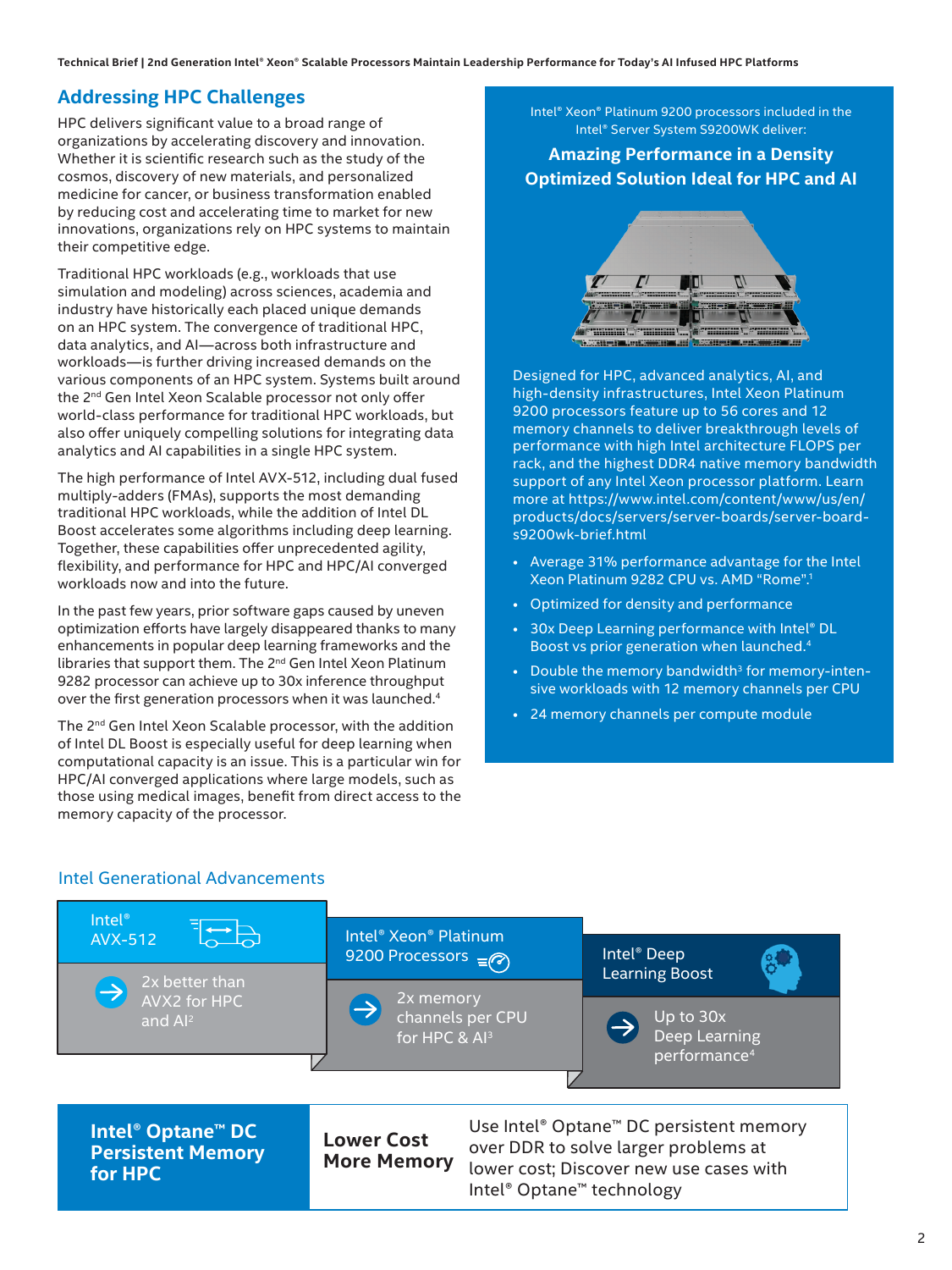# **Addressing HPC Challenges**

HPC delivers significant value to a broad range of organizations by accelerating discovery and innovation. Whether it is scientific research such as the study of the cosmos, discovery of new materials, and personalized medicine for cancer, or business transformation enabled by reducing cost and accelerating time to market for new innovations, organizations rely on HPC systems to maintain their competitive edge.

Traditional HPC workloads (e.g., workloads that use simulation and modeling) across sciences, academia and industry have historically each placed unique demands on an HPC system. The convergence of traditional HPC, data analytics, and AI—across both infrastructure and workloads—is further driving increased demands on the various components of an HPC system. Systems built around the 2<sup>nd</sup> Gen Intel Xeon Scalable processor not only offer world-class performance for traditional HPC workloads, but also offer uniquely compelling solutions for integrating data analytics and AI capabilities in a single HPC system.

The high performance of Intel AVX-512, including dual fused multiply-adders (FMAs), supports the most demanding traditional HPC workloads, while the addition of Intel DL Boost accelerates some algorithms including deep learning. Together, these capabilities offer unprecedented agility, flexibility, and performance for HPC and HPC/AI converged workloads now and into the future.

In the past few years, prior software gaps caused by uneven optimization efforts have largely disappeared thanks to many enhancements in popular deep learning frameworks and the libraries that support them. The 2nd Gen Intel Xeon Platinum 9282 processor can achieve up to 30x inference throughput over the first generation processors when it was launched.<sup>4</sup>

The 2<sup>nd</sup> Gen Intel Xeon Scalable processor, with the addition of Intel DL Boost is especially useful for deep learning when computational capacity is an issue. This is a particular win for HPC/AI converged applications where large models, such as those using medical images, benefit from direct access to the memory capacity of the processor.

Intel® Xeon® Platinum 9200 processors included in the Intel® Server System S9200WK deliver:

# **Amazing Performance in a Density Optimized Solution Ideal for HPC and AI**



Designed for HPC, advanced analytics, AI, and high-density infrastructures, Intel Xeon Platinum 9200 processors feature up to 56 cores and 12 memory channels to deliver breakthrough levels of performance with high Intel architecture FLOPS per rack, and the highest DDR4 native memory bandwidth support of any Intel Xeon processor platform. Learn more at [https://www.intel.com/content/www/us/en/](https://www.intel.com/content/www/us/en/products/docs/servers/server-boards/server-board-s9200wk-brief.html) [products/docs/servers/server-boards/server-board](https://www.intel.com/content/www/us/en/products/docs/servers/server-boards/server-board-s9200wk-brief.html)[s9200wk-brief.html](https://www.intel.com/content/www/us/en/products/docs/servers/server-boards/server-board-s9200wk-brief.html)

- Average 31% performance advantage for the Intel Xeon Platinum 9282 CPU vs. AMD "Rome".<sup>1</sup>
- Optimized for density and performance
- 30x Deep Learning performance with Intel® DL Boost vs prior generation when launched.4
- Double the memory bandwidth<sup>3</sup> for memory-intensive workloads with 12 memory channels per CPU
- 24 memory channels per compute module

#### Intel Generational Advancements

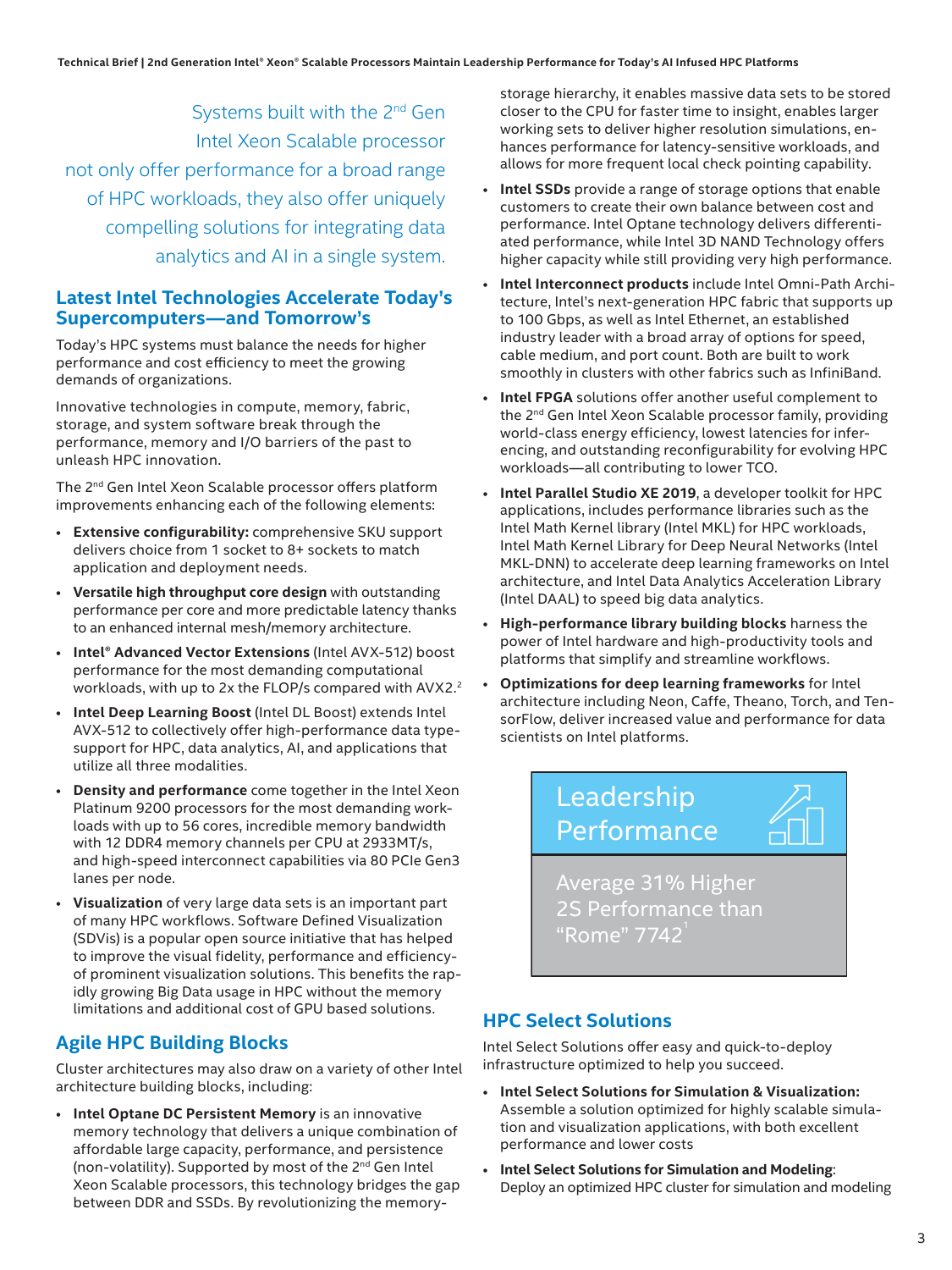Systems built with the 2<sup>nd</sup> Gen Intel Xeon Scalable processor not only offer performance for a broad range of HPC workloads, they also offer uniquely compelling solutions for integrating data analytics and AI in a single system.

#### **Latest Intel Technologies Accelerate Today's Supercomputers—and Tomorrow's**

Today's HPC systems must balance the needs for higher performance and cost efficiency to meet the growing demands of organizations.

Innovative technologies in compute, memory, fabric, storage, and system software break through the performance, memory and I/O barriers of the past to unleash HPC innovation.

The 2<sup>nd</sup> Gen Intel Xeon Scalable processor offers platform improvements enhancing each of the following elements:

- **Extensive configurability:** comprehensive SKU support delivers choice from 1 socket to 8+ sockets to match application and deployment needs.
- **Versatile high throughput core design** with outstanding performance per core and more predictable latency thanks to an enhanced internal mesh/memory architecture.
- **Intel® Advanced Vector Extensions** (Intel AVX-512) boost performance for the most demanding computational workloads, with up to 2x the FLOP/s compared with AVX2.<sup>2</sup>
- **Intel Deep Learning Boost** (Intel DL Boost) extends Intel AVX-512 to collectively offer high-performance data typesupport for HPC, data analytics, AI, and applications that utilize all three modalities.
- **Density and performance** come together in the Intel Xeon Platinum 9200 processors for the most demanding workloads with up to 56 cores, incredible memory bandwidth with 12 DDR4 memory channels per CPU at 2933MT/s, and high-speed interconnect capabilities via 80 PCIe Gen3 lanes per node.
- **Visualization** of very large data sets is an important part of many HPC workflows. Software Defined Visualization (SDVis) is a popular open source initiative that has helped to improve the visual fidelity, performance and efficiencyof prominent visualization solutions. This benefits the rapidly growing Big Data usage in HPC without the memory limitations and additional cost of GPU based solutions.

# **Agile HPC Building Blocks**

Cluster architectures may also draw on a variety of other Intel architecture building blocks, including:

• **Intel Optane DC Persistent Memory** is an innovative memory technology that delivers a unique combination of affordable large capacity, performance, and persistence (non-volatility). Supported by most of the 2nd Gen Intel Xeon Scalable processors, this technology bridges the gap between DDR and SSDs. By revolutionizing the memory-

storage hierarchy, it enables massive data sets to be stored closer to the CPU for faster time to insight, enables larger working sets to deliver higher resolution simulations, enhances performance for latency-sensitive workloads, and allows for more frequent local check pointing capability.

- **Intel SSDs** provide a range of storage options that enable customers to create their own balance between cost and performance. Intel Optane technology delivers differentiated performance, while Intel 3D NAND Technology offers higher capacity while still providing very high performance.
- **Intel Interconnect products** include Intel Omni-Path Architecture, Intel's next-generation HPC fabric that supports up to 100 Gbps, as well as Intel Ethernet, an established industry leader with a broad array of options for speed, cable medium, and port count. Both are built to work smoothly in clusters with other fabrics such as InfiniBand.
- **Intel FPGA** solutions offer another useful complement to the 2<sup>nd</sup> Gen Intel Xeon Scalable processor family, providing world-class energy efficiency, lowest latencies for inferencing, and outstanding reconfigurability for evolving HPC workloads—all contributing to lower TCO.
- **Intel Parallel Studio XE 2019**, a developer toolkit for HPC applications, includes performance libraries such as the Intel Math Kernel library (Intel MKL) for HPC workloads, Intel Math Kernel Library for Deep Neural Networks (Intel MKL-DNN) to accelerate deep learning frameworks on Intel architecture, and Intel Data Analytics Acceleration Library (Intel DAAL) to speed big data analytics.
- **High-performance library building blocks** harness the power of Intel hardware and high-productivity tools and platforms that simplify and streamline workflows.
- **Optimizations for deep learning frameworks** for Intel architecture including Neon, Caffe, Theano, Torch, and TensorFlow, deliver increased value and performance for data scientists on Intel platforms.



2S Performance than "Rome" 7742

# **HPC Select Solutions**

Intel Select Solutions offer easy and quick-to-deploy infrastructure optimized to help you succeed.

- **Intel Select Solutions for Simulation & Visualization:**  Assemble a solution optimized for highly scalable simulation and visualization applications, with both excellent performance and lower costs
- **Intel Select Solutions for Simulation and Modeling**: Deploy an optimized HPC cluster for simulation and modeling